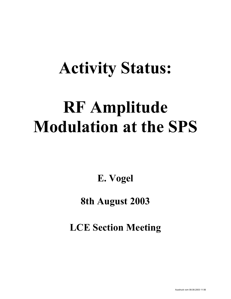## **Activity Status:**

# **RF Amplitude Modulation at the SPS**

**E. Vogel** 

#### **8th August 2003**

**LCE Section Meeting**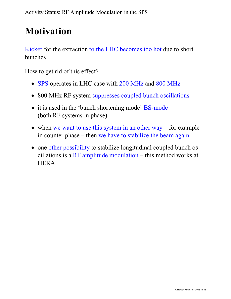## **Motivation**

Kicker for the extraction to the LHC becomes too hot due to short bunches.

How to get rid of this effect?

- SPS operates in LHC case with 200 MHz and 800 MHz
- 800 MHz RF system suppresses coupled bunch oscillations
- it is used in the 'bunch shortening mode' BS-mode (both RF systems in phase)
- when we want to use this system in an other way for example in counter phase – then we have to stabilize the beam again
- one other possibility to stabilize longitudinal coupled bunch oscillations is a RF amplitude modulation – this method works at **HERA**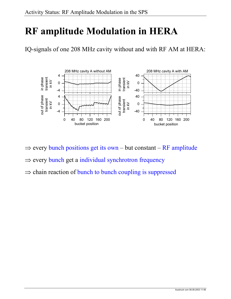## **RF amplitude Modulation in HERA**

IQ-signals of one 208 MHz cavity without and with RF AM at HERA:



 $\Rightarrow$  every bunch positions get its own – but constant – RF amplitude

⇒ every bunch get a individual synchrotron frequency

 $\Rightarrow$  chain reaction of bunch to bunch coupling is suppressed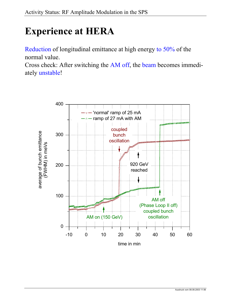## **Experience at HERA**

Reduction of longitudinal emittance at high energy to 50% of the normal value.

Cross check: After switching the AM off, the beam becomes immediately unstable!

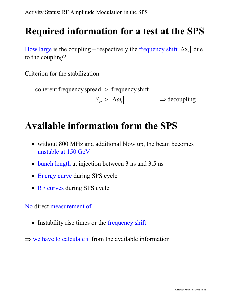#### **Required information for a test at the SPS**

How large is the coupling – respectively the frequency shift  $|\Delta \omega_i|$  due to the coupling?

Criterion for the stabilization:

 $\Rightarrow$  decoupling  $\text{coherent frequency spread} > \text{frequency shift}$  $S_{\omega} > |\Delta \omega_{l}| \qquad \qquad \Rightarrow$ 

#### **Available information form the SPS**

- without 800 MHz and additional blow up, the beam becomes unstable at 150 GeV
- bunch length at injection between 3 ns and 3.5 ns
- Energy curve during SPS cycle
- RF curves during SPS cycle

No direct measurement of

- Instability rise times or the frequency shift
- $\Rightarrow$  we have to calculate it from the available information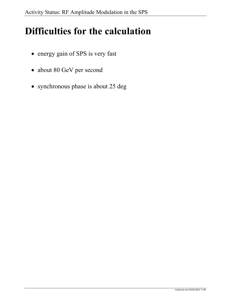#### **Difficulties for the calculation**

- energy gain of SPS is very fast
- about 80 GeV per second
- synchronous phase is about 25 deg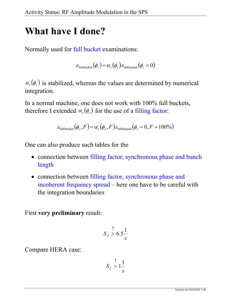#### **What have I done?**

Normally used for full bucket examinations:

$$
\varepsilon_{\text{fullbucket}}(\phi_s) = \alpha_s(\phi_s) \varepsilon_{\text{full bucket}}(\phi_s = 0)
$$

 $\alpha_{s}(\phi_{s})$  is stabilized, whereas the values are determined by numerical integration.

In a normal machine, one does not work with 100% full buckets, therefore I extended  $\alpha_s(\phi_s)$  for the use of a filling factor:

$$
\varepsilon_{\text{fullbucket}}(\phi_s, F) = \alpha_s(\phi_s, F) \varepsilon_{\text{fullbucket}}(\phi_s = 0, F = 100\%)
$$

One can also produce such tables for the

- connection between filling factor, synchronous phase and bunch length
- connection between filling factor, synchronous phase and incoherent frequency spread – here one have to be careful with the integration boundaries

First **very preliminary** result:

$$
S_f \stackrel{!}{\geq} 6.5 \frac{1}{s}
$$

Compare HERA case:

$$
S_f \geq 1 \frac{1}{s}
$$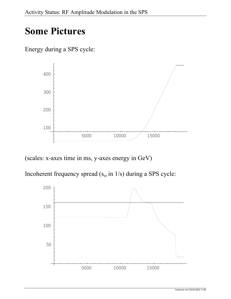### **Some Pictures**

Energy during a SPS cycle:



(scales: x-axes time in ms, y-axes energy in GeV)

Incoherent frequency spread ( $s_{\omega}$  in  $1/s$ ) during a SPS cycle: